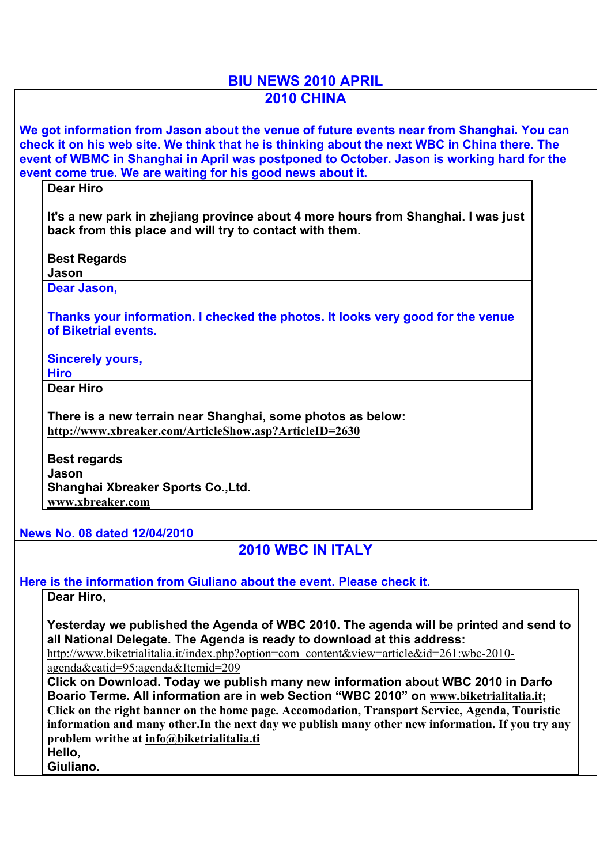## **BIU NEWS 2010 APRIL 2010 CHINA**

**We got information from Jason about the venue of future events near from Shanghai. You can check it on his web site. We think that he is thinking about the next WBC in China there. The event of WBMC in Shanghai in April was postponed to October. Jason is working hard for the event come true. We are waiting for his good news about it.**

**Dear Hiro**

**It's a new park in zhejiang province about 4 more hours from Shanghai. I was just back from this place and will try to contact with them.**

**Best Regards**

**Jason**

**Dear Jason,**

**Thanks your information. I checked the photos. It looks very good for the venue of Biketrial events.**

**Sincerely yours,**

**Hiro Dear Hiro**

**There is a new terrain near Shanghai, some photos as below: http://www.xbreaker.com/ArticleShow.asp?ArticleID=2630**

**Best regards Jason Shanghai Xbreaker Sports Co.,Ltd. www.xbreaker.com**

**News No. 08 dated 12/04/2010**

**2010 WBC IN ITALY**

**Here is the information from Giuliano about the event. Please check it.**

**Dear Hiro,**

**Yesterday we published the Agenda of WBC 2010. The agenda will be printed and send to all National Delegate. The Agenda is ready to download at this address:** 

http://www.biketrialitalia.it/index.php?option=com\_content&view=article&id=261:wbc-2010agenda&catid=95:agenda&Itemid=209

**Click on Download. Today we publish many new information about WBC 2010 in Darfo Boario Terme. All information are in web Section "WBC 2010" on www.biketrialitalia.it; Click on the right banner on the home page. Accomodation, Transport Service, Agenda, Touristic information and many other.In the next day we publish many other new information. If you try any problem writhe at info@biketrialitalia.ti Hello,** 

**Giuliano.**